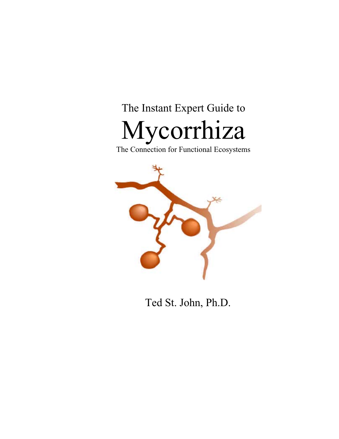

The Connection for Functional Ecosystems



Ted St. John, Ph.D.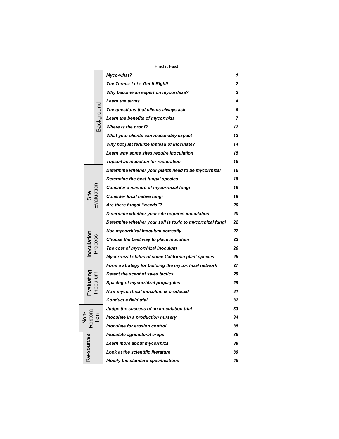|                                            |                       |            | <b>Find it Fast</b>                                       |    |
|--------------------------------------------|-----------------------|------------|-----------------------------------------------------------|----|
|                                            |                       | Background | Myco-what?                                                | 1  |
|                                            |                       |            | The Terms: Let's Get It Right!                            | 2  |
|                                            |                       |            | Why become an expert on mycorrhiza?                       | 3  |
|                                            |                       |            | <b>Learn the terms</b>                                    | 4  |
|                                            |                       |            | The questions that clients always ask                     | 6  |
|                                            |                       |            | Learn the benefits of mycorrhiza                          | 7  |
|                                            |                       |            | Where is the proof?                                       | 12 |
|                                            |                       |            | What your clients can reasonably expect                   | 13 |
|                                            |                       |            | Why not just fertilize instead of inoculate?              | 14 |
|                                            |                       |            | Learn why some sites require inoculation                  | 15 |
|                                            |                       |            | Topsoil as inoculum for restoration                       | 15 |
|                                            |                       |            | Determine whether your plants need to be mycorrhizal      | 16 |
|                                            | Evaluation            |            | Determine the best fungal species                         | 18 |
|                                            |                       |            | Consider a mixture of mycorrhizal fungi                   | 19 |
|                                            |                       |            | <b>Consider local native fungi</b>                        | 19 |
|                                            |                       |            | Are there fungal "weeds"?                                 | 20 |
|                                            |                       |            | Determine whether your site requires inoculation          | 20 |
|                                            |                       |            | Determine whether your soil is toxic to mycorrhizal fungi | 22 |
|                                            |                       |            | Use mycorrhizal inoculum correctly                        | 22 |
|                                            |                       |            | Choose the best way to place inoculum                     | 23 |
|                                            | noculation<br>Process |            | The cost of mycorrhizal inoculum                          | 26 |
|                                            |                       |            | Mycorrhizal status of some California plant species       | 26 |
| valuating:                                 |                       |            | Form a strategy for building the mycorrhizal network      | 27 |
|                                            |                       |            | Detect the scent of sales tactics                         | 29 |
|                                            |                       |            | Spacing of mycorrhizal propagules                         | 29 |
|                                            |                       |            | How mycorrhizal inoculum is produced                      | 31 |
|                                            |                       |            | <b>Conduct a field trial</b>                              | 32 |
|                                            | ക്                    |            | Judge the success of an inoculation trial                 | 33 |
| Resto<br>ই<br>৴<br>$\overline{\mathsf{c}}$ |                       |            | Inoculate in a production nursery                         | 34 |
|                                            |                       |            | Inoculate for erosion control                             | 35 |
|                                            |                       |            | Inoculate agricultural crops                              | 35 |
|                                            |                       |            | Learn more about mycorrhiza                               | 38 |
|                                            | Re-sources            |            | Look at the scientific literature                         | 39 |
|                                            |                       |            | <b>Modify the standard specifications</b>                 | 45 |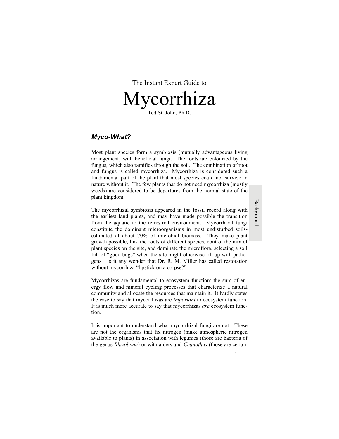The Instant Expert Guide to



# *Myco-What?*

Most plant species form a symbiosis (mutually advantageous living arrangement) with beneficial fungi. The roots are colonized by the fungus, which also ramifies through the soil. The combination of root and fungus is called mycorrhiza. Mycorrhiza is considered such a fundamental part of the plant that most species could not survive in nature without it. The few plants that do not need mycorrhiza (mostly weeds) are considered to be departures from the normal state of the plant kingdom.

The mycorrhizal symbiosis appeared in the fossil record along with the earliest land plants, and may have made possible the transition from the aquatic to the terrestrial environment. Mycorrhizal fungi constitute the dominant microorganisms in most undisturbed soilsestimated at about 70% of microbial biomass. They make plant growth possible, link the roots of different species, control the mix of plant species on the site, and dominate the microflora, selecting a soil full of "good bugs" when the site might otherwise fill up with pathogens. Is it any wonder that Dr. R. M. Miller has called restoration without mycorrhiza "lipstick on a corpse?"

Mycorrhizas are fundamental to ecosystem function: the sum of energy flow and mineral cycling processes that characterize a natural community and allocate the resources that maintain it. It hardly states the case to say that mycorrhizas are *important* to ecosystem function. It is much more accurate to say that mycorrhizas *are* ecosystem function.

It is important to understand what mycorrhizal fungi are not. These are not the organisms that fix nitrogen (make atmospheric nitrogen available to plants) in association with legumes (those are bacteria of the genus *Rhizobium*) or with alders and *Ceanothus* (those are certain

Background Background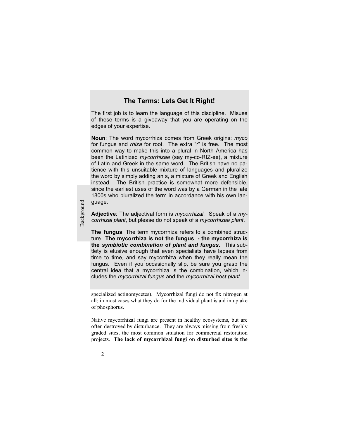# **The Terms: Lets Get It Right!**

The first job is to learn the language of this discipline. Misuse of these terms is a giveaway that you are operating on the edges of your expertise.

**Noun**: The word mycorrhiza comes from Greek origins: *myco* for fungus and *rhiza* for root. The extra "r" is free. The most common way to make this into a plural in North America has been the Latinized *mycorrhizae* (say my-co-RIZ-ee), a mixture of Latin and Greek in the same word. The British have no patience with this unsuitable mixture of languages and pluralize the word by simply adding an s, a mixture of Greek and English instead. The British practice is somewhat more defensible, since the earliest uses of the word was by a German in the late 1800s who pluralized the term in accordance with his own language.

Background **3ackground** 

**Adjective**: The adjectival form is *mycorrhizal*. Speak of a *mycorrhizal plant*, but please do not speak of a *mycorrhizae plant*.

**The fungus**: The term mycorrhiza refers to a combined structure. **The mycorrhiza is not the fungus - the mycorrhiza is the** *symbiotic combination of plant and fungus***.** This subtlety is elusive enough that even specialists have lapses from time to time, and say mycorrhiza when they really mean the fungus. Even if you occasionally slip, be sure you grasp the central idea that a mycorrhiza is the combination, which includes the *mycorrhizal fungus* and the *mycorrhizal host plant*.

specialized actinomycetes). Mycorrhizal fungi do not fix nitrogen at all; in most cases what they do for the individual plant is aid in uptake of phosphorus.

Native mycorrhizal fungi are present in healthy ecosystems, but are often destroyed by disturbance. They are always missing from freshly graded sites, the most common situation for commercial restoration projects. **The lack of mycorrhizal fungi on disturbed sites is the**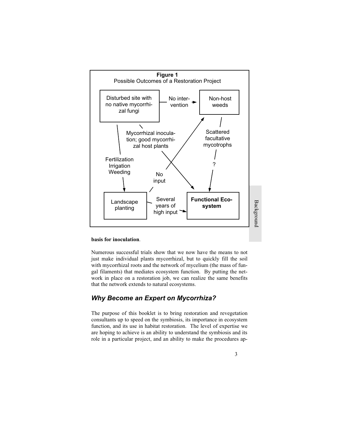

#### **basis for inoculation**.

Numerous successful trials show that we now have the means to not just make individual plants mycorrhizal, but to quickly fill the soil with mycorrhizal roots and the network of mycelium (the mass of fungal filaments) that mediates ecosystem function. By putting the network in place on a restoration job, we can realize the same benefits that the network extends to natural ecosystems.

# *Why Become an Expert on Mycorrhiza?*

The purpose of this booklet is to bring restoration and revegetation consultants up to speed on the symbiosis, its importance in ecosystem function, and its use in habitat restoration. The level of expertise we are hoping to achieve is an ability to understand the symbiosis and its role in a particular project, and an ability to make the procedures ap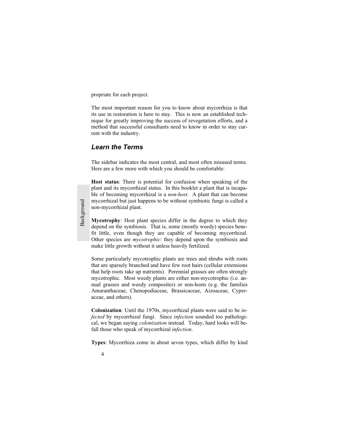propriate for each project.

The most important reason for you to know about mycorrhiza is that its use in restoration is here to stay. This is now an established technique for greatly improving the success of revegetation efforts, and a method that successful consultants need to know in order to stay current with the industry.

# *Learn the Terms*

The sidebar indicates the most central, and most often misused terms. Here are a few more with which you should be comfortable:

**Host status**: There is potential for confusion when speaking of the plant and its mycorrhizal status. In this booklet a plant that is incapable of becoming mycorrhizal is a *non-host*. A plant that can become mycorrhizal but just happens to be without symbiotic fungi is called a non-mycorrhizal plant.

**Mycotrophy**: Host plant species differ in the degree to which they depend on the symbiosis. That is, some (mostly weedy) species benefit little, even though they are capable of becoming mycorrhizal. Other species are *mycotrophic*: they depend upon the symbiosis and make little growth without it unless heavily fertilized.

Some particularly mycotrophic plants are trees and shrubs with roots that are sparsely branched and have few root hairs (cellular extensions that help roots take up nutrients). Perennial grasses are often strongly mycotrophic. Most weedy plants are either non-mycotrophic (i.e. annual grasses and weedy composites) or non-hosts (e.g. the families Amaranthaceae, Chenopodiaceae, Brassicaceae, Aizoaceae, Cyperaceae, and others).

**Colonization**: Until the 1970s, mycorrhizal plants were said to be *infected* by mycorrhizal fungi. Since *infection* sounded too pathological, we began saying *colonization* instead. Today, hard looks will befall those who speak of mycorrhizal *infection*.

**Types**: Mycorrhiza come in about seven types, which differ by kind

Background Background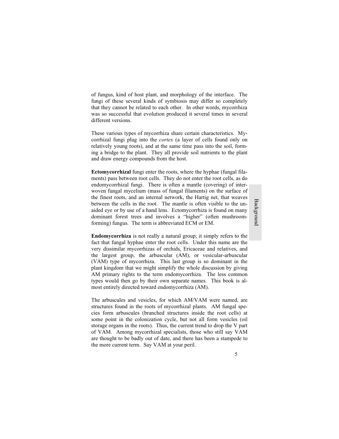of fungus, kind of host plant, and morphology of the interface. The fungi of these several kinds of symbiosis may differ so completely that they cannot be related to each other. In other words, mycorrhiza was so successful that evolution produced it several times in several different versions.

These various types of mycorrhiza share certain characteristics. Mycorrhizal fungi plug into the *cortex* (a layer of cells found only on relatively young roots), and at the same time pass into the soil, forming a bridge to the plant. They all provide soil nutrients to the plant and draw energy compounds from the host.

**Ectomycorrhizal** fungi enter the roots, where the hyphae (fungal filaments) pass between root cells. They do not enter the root cells, as do endomycorrhizal fungi. There is often a mantle (covering) of interwoven fungal mycelium (mass of fungal filaments) on the surface of the finest roots, and an internal network, the Hartig net, that weaves between the cells in the root. The mantle is often visible to the unaided eye or by use of a hand lens. Ectomycorrhiza is found on many dominant forest trees and involves a "higher" (often mushroomforming) fungus. The term is abbreviated ECM or EM.

**Endomycorrhiza** is not really a natural group; it simply refers to the fact that fungal hyphae enter the root cells. Under this name are the very dissimilar mycorrhizas of orchids, Ericaceae and relatives, and the largest group, the arbuscular (AM), or vesicular-arbuscular (VAM) type of mycorrhiza. This last group is so dominant in the plant kingdom that we might simplify the whole discussion by giving AM primary rights to the term endomycorrhiza. The less common types would then go by their own separate names. This book is almost entirely directed toward endomycorrhiza (AM).

The arbuscules and vesicles, for which AM/VAM were named, are structures found in the roots of mycorrhizal plants. AM fungal species form arbuscules (branched structures inside the root cells) at some point in the colonization cycle, but not all form vesicles (oil storage organs in the roots). Thus, the current trend to drop the V part of VAM. Among mycorrhizal specialists, those who still say VAM are thought to be badly out of date, and there has been a stampede to the more current term. Say VAM at your peril.

Background Background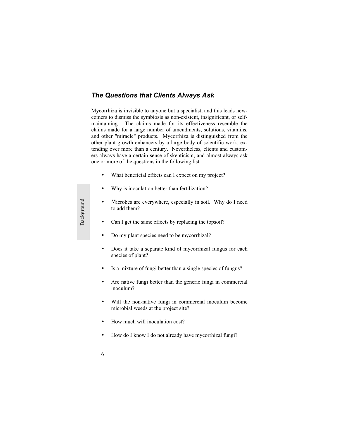# *The Questions that Clients Always Ask*

Mycorrhiza is invisible to anyone but a specialist, and this leads newcomers to dismiss the symbiosis as non-existent, insignificant, or selfmaintaining. The claims made for its effectiveness resemble the claims made for a large number of amendments, solutions, vitamins, and other "miracle" products. Mycorrhiza is distinguished from the other plant growth enhancers by a large body of scientific work, extending over more than a century. Nevertheless, clients and customers always have a certain sense of skepticism, and almost always ask one or more of the questions in the following list:

- What beneficial effects can I expect on my project?
- Why is inoculation better than fertilization?
- Microbes are everywhere, especially in soil. Why do I need to add them?
- Can I get the same effects by replacing the topsoil?
- Do my plant species need to be mycorrhizal?
- Does it take a separate kind of mycorrhizal fungus for each species of plant?
- Is a mixture of fungi better than a single species of fungus?
- Are native fungi better than the generic fungi in commercial inoculum?
- Will the non-native fungi in commercial inoculum become microbial weeds at the project site?
- How much will inoculation cost?
- How do I know I do not already have mycorrhizal fungi?
- 6

Background Background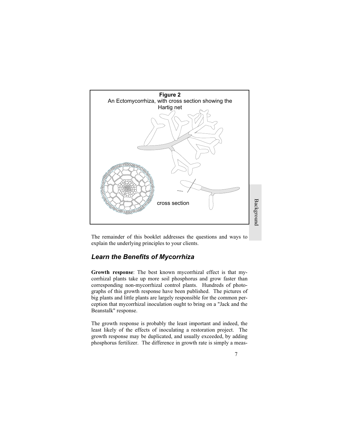

The remainder of this booklet addresses the questions and ways to explain the underlying principles to your clients.

# *Learn the Benefits of Mycorrhiza*

**Growth response**: The best known mycorrhizal effect is that mycorrhizal plants take up more soil phosphorus and grow faster than corresponding non-mycorrhizal control plants. Hundreds of photographs of this growth response have been published. The pictures of big plants and little plants are largely responsible for the common perception that mycorrhizal inoculation ought to bring on a "Jack and the Beanstalk" response.

The growth response is probably the least important and indeed, the least likely of the effects of inoculating a restoration project. The growth response may be duplicated, and usually exceeded, by adding phosphorus fertilizer. The difference in growth rate is simply a meas-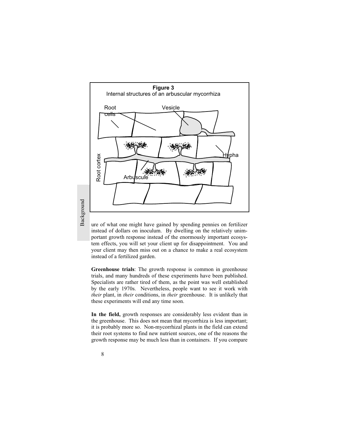



ure of what one might have gained by spending pennies on fertilizer instead of dollars on inoculum. By dwelling on the relatively unimportant growth response instead of the enormously important ecosystem effects, you will set your client up for disappointment. You and your client may then miss out on a chance to make a real ecosystem instead of a fertilized garden.

**Greenhouse trials**: The growth response is common in greenhouse trials, and many hundreds of these experiments have been published. Specialists are rather tired of them, as the point was well established by the early 1970s. Nevertheless, people want to see it work with *their* plant, in *their* conditions, in *their* greenhouse. It is unlikely that these experiments will end any time soon.

**In the field,** growth responses are considerably less evident than in the greenhouse. This does not mean that mycorrhiza is less important; it is probably more so. Non-mycorrhizal plants in the field can extend their root systems to find new nutrient sources, one of the reasons the growth response may be much less than in containers. If you compare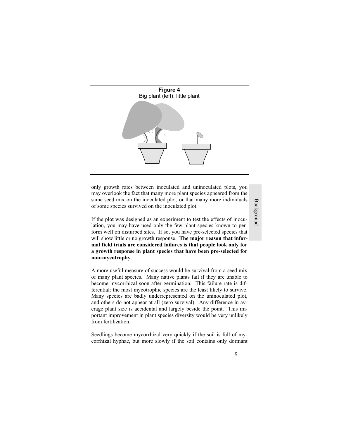

only growth rates between inoculated and uninoculated plots, you may overlook the fact that many more plant species appeared from the same seed mix on the inoculated plot, or that many more individuals of some species survived on the inoculated plot.

If the plot was designed as an experiment to test the effects of inoculation, you may have used only the few plant species known to perform well on disturbed sites. If so, you have pre-selected species that will show little or no growth response. **The major reason that informal field trials are considered failures is that people look only for a growth response in plant species that have been pre-selected for non-mycotrophy**.

A more useful measure of success would be survival from a seed mix of many plant species. Many native plants fail if they are unable to become mycorrhizal soon after germination. This failure rate is differential: the most mycotrophic species are the least likely to survive. Many species are badly underrepresented on the uninoculated plot, and others do not appear at all (zero survival). Any difference in average plant size is accidental and largely beside the point. This important improvement in plant species diversity would be very unlikely from fertilization.

Seedlings become mycorrhizal very quickly if the soil is full of mycorrhizal hyphae, but more slowly if the soil contains only dormant

# **Background** Background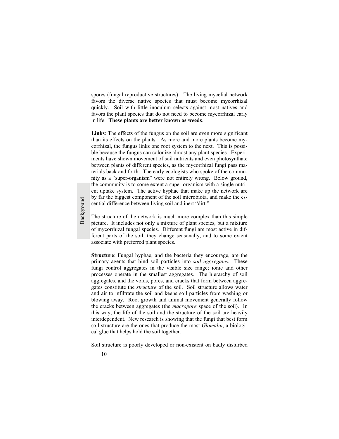spores (fungal reproductive structures). The living mycelial network favors the diverse native species that must become mycorrhizal quickly. Soil with little inoculum selects against most natives and favors the plant species that do not need to become mycorrhizal early in life. **These plants are better known as weeds**.

**Links**: The effects of the fungus on the soil are even more significant than its effects on the plants. As more and more plants become mycorrhizal, the fungus links one root system to the next. This is possible because the fungus can colonize almost any plant species. Experiments have shown movement of soil nutrients and even photosynthate between plants of different species, as the mycorrhizal fungi pass materials back and forth. The early ecologists who spoke of the community as a "super-organism" were not entirely wrong. Below ground, the community is to some extent a super-organism with a single nutrient uptake system. The active hyphae that make up the network are by far the biggest component of the soil microbiota, and make the essential difference between living soil and inert "dirt."

Background **3ackground** 

The structure of the network is much more complex than this simple picture. It includes not only a mixture of plant species, but a mixture of mycorrhizal fungal species. Different fungi are most active in different parts of the soil, they change seasonally, and to some extent associate with preferred plant species.

**Structure**: Fungal hyphae, and the bacteria they encourage, are the primary agents that bind soil particles into *soil aggregates*. These fungi control aggregates in the visible size range; ionic and other processes operate in the smallest aggregates. The hierarchy of soil aggregates, and the voids, pores, and cracks that form between aggregates constitute the *structure* of the soil. Soil structure allows water and air to infiltrate the soil and keeps soil particles from washing or blowing away. Root growth and animal movement generally follow the cracks between aggregates (the *macropore* space of the soil). In this way, the life of the soil and the structure of the soil are heavily interdependent. New research is showing that the fungi that best form soil structure are the ones that produce the most *Glomalin*, a biological glue that helps hold the soil together.

Soil structure is poorly developed or non-existent on badly disturbed

10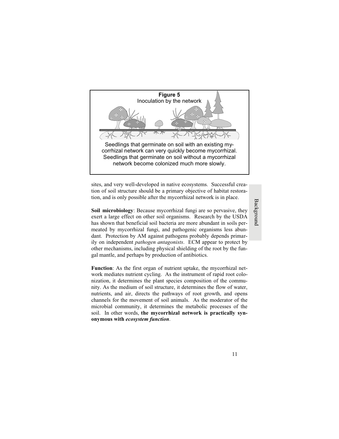

sites, and very well-developed in native ecosystems. Successful creation of soil structure should be a primary objective of habitat restoration, and is only possible after the mycorrhizal network is in place.

**Soil microbiology**: Because mycorrhizal fungi are so pervasive, they exert a large effect on other soil organisms. Research by the USDA has shown that beneficial soil bacteria are more abundant in soils permeated by mycorrhizal fungi, and pathogenic organisms less abundant. Protection by AM against pathogens probably depends primarily on independent *pathogen antagonists*. ECM appear to protect by other mechanisms, including physical shielding of the root by the fungal mantle, and perhaps by production of antibiotics.

Function: As the first organ of nutrient uptake, the mycorrhizal network mediates nutrient cycling. As the instrument of rapid root colonization, it determines the plant species composition of the community. As the medium of soil structure, it determines the flow of water, nutrients, and air, directs the pathways of root growth, and opens channels for the movement of soil animals. As the moderator of the microbial community, it determines the metabolic processes of the soil. In other words, **the mycorrhizal network is practically synonymous with** *ecosystem function*.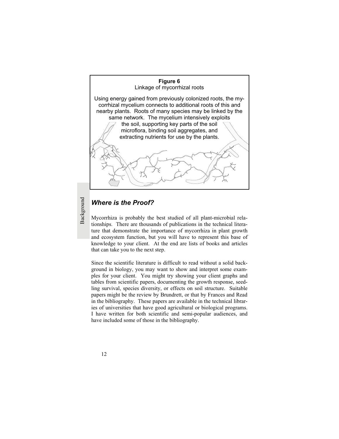

# Background Background

# *Where is the Proof?*

Mycorrhiza is probably the best studied of all plant-microbial relationships. There are thousands of publications in the technical literature that demonstrate the importance of mycorrhiza in plant growth and ecosystem function, but you will have to represent this base of knowledge to your client. At the end are lists of books and articles that can take you to the next step.

Since the scientific literature is difficult to read without a solid background in biology, you may want to show and interpret some examples for your client. You might try showing your client graphs and tables from scientific papers, documenting the growth response, seedling survival, species diversity, or effects on soil structure. Suitable papers might be the review by Brundrett, or that by Frances and Read in the bibliography. These papers are available in the technical libraries of universities that have good agricultural or biological programs. I have written for both scientific and semi-popular audiences, and have included some of those in the bibliography.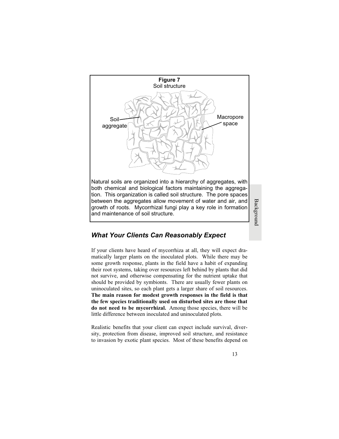

# *What Your Clients Can Reasonably Expect*

If your clients have heard of mycorrhiza at all, they will expect dramatically larger plants on the inoculated plots. While there may be some growth response, plants in the field have a habit of expanding their root systems, taking over resources left behind by plants that did not survive, and otherwise compensating for the nutrient uptake that should be provided by symbionts. There are usually fewer plants on uninoculated sites, so each plant gets a larger share of soil resources. **The main reason for modest growth responses in the field is that the few species traditionally used on disturbed sites are those that do not need to be mycorrhizal.** Among those species, there will be little difference between inoculated and uninoculated plots.

Realistic benefits that your client can expect include survival, diversity, protection from disease, improved soil structure, and resistance to invasion by exotic plant species. Most of these benefits depend on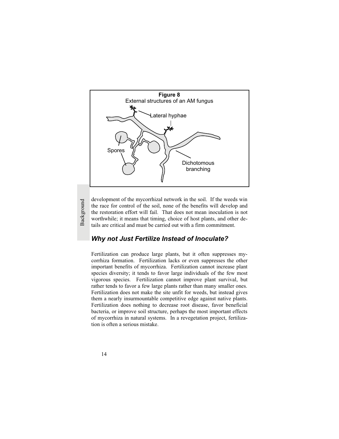

# Background Background

development of the mycorrhizal network in the soil. If the weeds win the race for control of the soil, none of the benefits will develop and the restoration effort will fail. That does not mean inoculation is not worthwhile; it means that timing, choice of host plants, and other details are critical and must be carried out with a firm commitment.

# *Why not Just Fertilize Instead of Inoculate?*

Fertilization can produce large plants, but it often suppresses mycorrhiza formation. Fertilization lacks or even suppresses the other important benefits of mycorrhiza. Fertilization cannot increase plant species diversity; it tends to favor large individuals of the few most vigorous species. Fertilization cannot improve plant survival, but rather tends to favor a few large plants rather than many smaller ones. Fertilization does not make the site unfit for weeds, but instead gives them a nearly insurmountable competitive edge against native plants. Fertilization does nothing to decrease root disease, favor beneficial bacteria, or improve soil structure, perhaps the most important effects of mycorrhiza in natural systems. In a revegetation project, fertilization is often a serious mistake.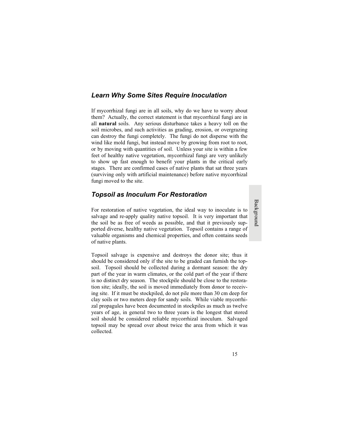# *Learn Why Some Sites Require Inoculation*

If mycorrhizal fungi are in all soils, why do we have to worry about them? Actually, the correct statement is that mycorrhizal fungi are in all **natural** soils. Any serious disturbance takes a heavy toll on the soil microbes, and such activities as grading, erosion, or overgrazing can destroy the fungi completely. The fungi do not disperse with the wind like mold fungi, but instead move by growing from root to root, or by moving with quantities of soil. Unless your site is within a few feet of healthy native vegetation, mycorrhizal fungi are very unlikely to show up fast enough to benefit your plants in the critical early stages. There are confirmed cases of native plants that sat three years (surviving only with artificial maintenance) before native mycorrhizal fungi moved to the site.

# *Topsoil as Inoculum For Restoration*

For restoration of native vegetation, the ideal way to inoculate is to salvage and re-apply quality native topsoil. It is very important that the soil be as free of weeds as possible, and that it previously supported diverse, healthy native vegetation. Topsoil contains a range of valuable organisms and chemical properties, and often contains seeds of native plants.

Topsoil salvage is expensive and destroys the donor site; thus it should be considered only if the site to be graded can furnish the topsoil. Topsoil should be collected during a dormant season: the dry part of the year in warm climates, or the cold part of the year if there is no distinct dry season. The stockpile should be close to the restoration site; ideally, the soil is moved immediately from donor to receiving site. If it must be stockpiled, do not pile more than 30 cm deep for clay soils or two meters deep for sandy soils. While viable mycorrhizal propagules have been documented in stockpiles as much as twelve years of age, in general two to three years is the longest that stored soil should be considered reliable mycorrhizal inoculum. Salvaged topsoil may be spread over about twice the area from which it was collected.

Background Background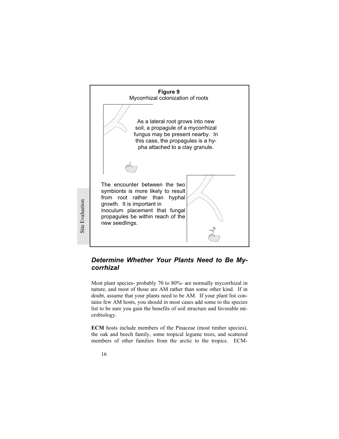

# *Determine Whether Your Plants Need to Be Mycorrhizal*

Most plant species- probably 70 to 80%- are normally mycorrhizal in nature, and most of those are AM rather than some other kind. If in doubt, assume that your plants need to be AM. If your plant list contains few AM hosts, you should in most cases add some to the species list to be sure you gain the benefits of soil structure and favorable microbiology.

**ECM** hosts include members of the Pinaceae (most timber species), the oak and beech family, some tropical legume trees, and scattered members of other families from the arctic to the tropics. ECM-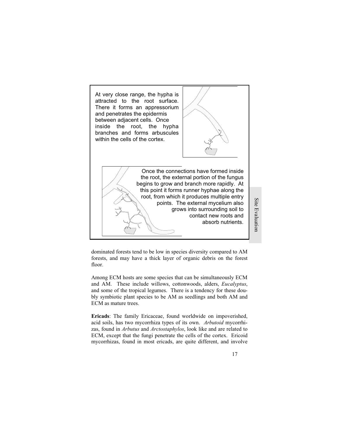

dominated forests tend to be low in species diversity compared to AM forests, and may have a thick layer of organic debris on the forest floor.

Among ECM hosts are some species that can be simultaneously ECM and AM. These include willows, cottonwoods, alders, *Eucalyptus*, and some of the tropical legumes. There is a tendency for these doubly symbiotic plant species to be AM as seedlings and both AM and ECM as mature trees.

**Ericads**: The family Ericaceae, found worldwide on impoverished, acid soils, has two mycorrhiza types of its own. *Arbutoid* mycorrhizas, found in *Arbutus* and *Arctostaphylos*, look like and are related to ECM, except that the fungi penetrate the cells of the cortex. Ericoid mycorrhizas, found in most ericads, are quite different, and involve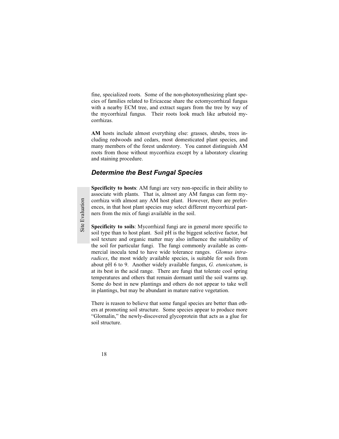fine, specialized roots. Some of the non-photosynthesizing plant species of families related to Ericaceae share the ectomycorrhizal fungus with a nearby ECM tree, and extract sugars from the tree by way of the mycorrhizal fungus. Their roots look much like arbutoid mycorrhizas.

**AM** hosts include almost everything else: grasses, shrubs, trees including redwoods and cedars, most domesticated plant species, and many members of the forest understory. You cannot distinguish AM roots from those without mycorrhiza except by a laboratory clearing and staining procedure.

# *Determine the Best Fungal Species*

**Specificity to hosts**: AM fungi are very non-specific in their ability to associate with plants. That is, almost any AM fungus can form mycorrhiza with almost any AM host plant. However, there are preferences, in that host plant species may select different mycorrhizal partners from the mix of fungi available in the soil.

**Specificity to soils**: Mycorrhizal fungi are in general more specific to soil type than to host plant. Soil pH is the biggest selective factor, but soil texture and organic matter may also influence the suitability of the soil for particular fungi. The fungi commonly available as commercial inocula tend to have wide tolerance ranges. *Glomus intraradices*, the most widely available species, is suitable for soils from about pH 6 to 9. Another widely available fungus, *G. etunicatum*, is at its best in the acid range. There are fungi that tolerate cool spring temperatures and others that remain dormant until the soil warms up. Some do best in new plantings and others do not appear to take well in plantings, but may be abundant in mature native vegetation.

There is reason to believe that some fungal species are better than others at promoting soil structure. Some species appear to produce more "Glomalin," the newly-discovered glycoprotein that acts as a glue for soil structure.

Site Evaluation Site Evaluation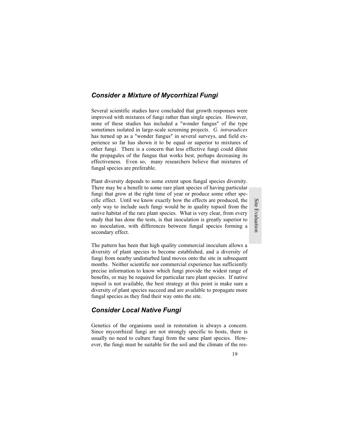# *Consider a Mixture of Mycorrhizal Fungi*

Several scientific studies have concluded that growth responses were improved with mixtures of fungi rather than single species. However, none of these studies has included a "wonder fungus" of the type sometimes isolated in large-scale screening projects. *G. intraradices* has turned up as a "wonder fungus" in several surveys, and field experience so far has shown it to be equal or superior to mixtures of other fungi. There is a concern that less effective fungi could dilute the propagules of the fungus that works best, perhaps decreasing its effectiveness. Even so, many researchers believe that mixtures of fungal species are preferable.

Plant diversity depends to some extent upon fungal species diversity. There may be a benefit to some rare plant species of having particular fungi that grow at the right time of year or produce some other specific effect. Until we know exactly how the effects are produced, the only way to include such fungi would be in quality topsoil from the native habitat of the rare plant species. What is very clear, from every study that has done the tests, is that inoculation is greatly superior to no inoculation, with differences between fungal species forming a secondary effect.

The pattern has been that high quality commercial inoculum allows a diversity of plant species to become established, and a diversity of fungi from nearby undisturbed land moves onto the site in subsequent months. Neither scientific nor commercial experience has sufficiently precise information to know which fungi provide the widest range of benefits, or may be required for particular rare plant species. If native topsoil is not available, the best strategy at this point is make sure a diversity of plant species succeed and are available to propagate more fungal species as they find their way onto the site.

# *Consider Local Native Fungi*

Genetics of the organisms used in restoration is always a concern. Since mycorrhizal fungi are not strongly specific to hosts, there is usually no need to culture fungi from the same plant species. However, the fungi must be suitable for the soil and the climate of the resSite Evaluation Site Evaluation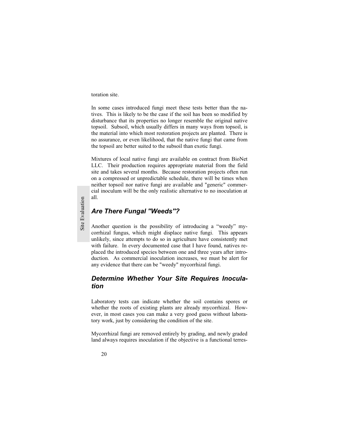toration site.

In some cases introduced fungi meet these tests better than the natives. This is likely to be the case if the soil has been so modified by disturbance that its properties no longer resemble the original native topsoil. Subsoil, which usually differs in many ways from topsoil, is the material into which most restoration projects are planted. There is no assurance, or even likelihood, that the native fungi that came from the topsoil are better suited to the subsoil than exotic fungi.

Mixtures of local native fungi are available on contract from BioNet LLC. Their production requires appropriate material from the field site and takes several months. Because restoration projects often run on a compressed or unpredictable schedule, there will be times when neither topsoil nor native fungi are available and "generic" commercial inoculum will be the only realistic alternative to no inoculation at all.

# *Are There Fungal "Weeds"?*

Another question is the possibility of introducing a "weedy" mycorrhizal fungus, which might displace native fungi. This appears unlikely, since attempts to do so in agriculture have consistently met with failure. In every documented case that I have found, natives replaced the introduced species between one and three years after introduction. As commercial inoculation increases, we must be alert for any evidence that there can be "weedy" mycorrhizal fungi.

# *Determine Whether Your Site Requires Inoculation*

Laboratory tests can indicate whether the soil contains spores or whether the roots of existing plants are already mycorrhizal. However, in most cases you can make a very good guess without laboratory work, just by considering the condition of the site.

Mycorrhizal fungi are removed entirely by grading, and newly graded land always requires inoculation if the objective is a functional terres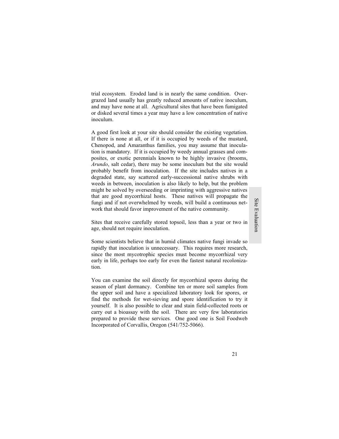trial ecosystem. Eroded land is in nearly the same condition. Overgrazed land usually has greatly reduced amounts of native inoculum, and may have none at all. Agricultural sites that have been fumigated or disked several times a year may have a low concentration of native inoculum.

A good first look at your site should consider the existing vegetation. If there is none at all, or if it is occupied by weeds of the mustard, Chenopod, and Amaranthus families, you may assume that inoculation is mandatory. If it is occupied by weedy annual grasses and composites, or exotic perennials known to be highly invasive (brooms, *Arundo*, salt cedar), there may be some inoculum but the site would probably benefit from inoculation. If the site includes natives in a degraded state, say scattered early-successional native shrubs with weeds in between, inoculation is also likely to help, but the problem might be solved by overseeding or imprinting with aggressive natives that are good mycorrhizal hosts. These natives will propagate the fungi and if not overwhelmed by weeds, will build a continuous network that should favor improvement of the native community.

Sites that receive carefully stored topsoil, less than a year or two in age, should not require inoculation.

Some scientists believe that in humid climates native fungi invade so rapidly that inoculation is unnecessary. This requires more research, since the most mycotrophic species must become mycorrhizal very early in life, perhaps too early for even the fastest natural recolonization.

You can examine the soil directly for mycorrhizal spores during the season of plant dormancy. Combine ten or more soil samples from the upper soil and have a specialized laboratory look for spores, or find the methods for wet-sieving and spore identification to try it yourself. It is also possible to clear and stain field-collected roots or carry out a bioassay with the soil. There are very few laboratories prepared to provide these services. One good one is Soil Foodweb Incorporated of Corvallis, Oregon (541/752-5066).

**Site Evaluation** Site Evaluation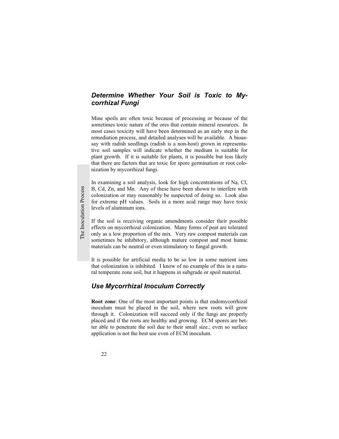# *Determine Whether Your Soil is Toxic to Mycorrhizal Fungi*

Mine spoils are often toxic because of processing or because of the sometimes toxic nature of the ores that contain mineral resources. In most cases toxicity will have been determined as an early step in the remediation process, and detailed analyses will be available. A bioassay with radish seedlings (radish is a non-host) grown in representative soil samples will indicate whether the medium is suitable for plant growth. If it is suitable for plants, it is possible but less likely that there are factors that are toxic for spore germination or root colonization by mycorrhizal fungi.

In examining a soil analysis, look for high concentrations of Na, Cl, B, Cd, Zn, and Mn. Any of these have been shown to interfere with colonization or may reasonably be suspected of doing so. Look also for extreme pH values. Soils in a more acid range may have toxic levels of aluminum ions.

If the soil is receiving organic amendments consider their possible effects on mycorrhizal colonization. Many forms of peat are tolerated only as a low proportion of the mix. Very raw compost materials can sometimes be inhibitory, although mature compost and most humic materials can be neutral or even stimulatory to fungal growth.

It is possible for artificial media to be so low in some nutrient ions that colonization is inhibited. I know of no example of this in a natural temperate zone soil, but it happens in subgrade or spoil material.

# *Use Mycorrhizal Inoculum Correctly*

**Root zone**: One of the most important points is that endomycorrhizal inoculum must be placed in the soil, where new roots will grow through it. Colonization will succeed only if the fungi are properly placed and if the roots are healthy and growing. ECM spores are better able to penetrate the soil due to their small size.; even so surface application is not the best use even of ECM inoculum.

The Inoculation Process The Inoculation Process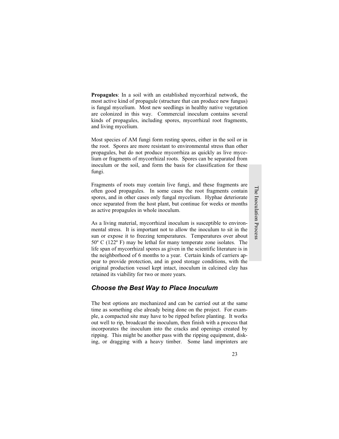**Propagules**: In a soil with an established mycorrhizal network, the most active kind of propagule (structure that can produce new fungus) is fungal mycelium. Most new seedlings in healthy native vegetation are colonized in this way. Commercial inoculum contains several kinds of propagules, including spores, mycorrhizal root fragments, and living mycelium.

Most species of AM fungi form resting spores, either in the soil or in the root. Spores are more resistant to environmental stress than other propagules, but do not produce mycorrhiza as quickly as live mycelium or fragments of mycorrhizal roots. Spores can be separated from inoculum or the soil, and form the basis for classification for these fungi.

Fragments of roots may contain live fungi, and these fragments are often good propagules. In some cases the root fragments contain spores, and in other cases only fungal mycelium. Hyphae deteriorate once separated from the host plant, but continue for weeks or months as active propagules in whole inoculum.

As a living material, mycorrhizal inoculum is susceptible to environmental stress. It is important not to allow the inoculum to sit in the sun or expose it to freezing temperatures. Temperatures over about 50º C (122º F) may be lethal for many temperate zone isolates. The life span of mycorrhizal spores as given in the scientific literature is in the neighborhood of 6 months to a year. Certain kinds of carriers appear to provide protection, and in good storage conditions, with the original production vessel kept intact, inoculum in calcined clay has retained its viability for two or more years.

# *Choose the Best Way to Place Inoculum*

The best options are mechanized and can be carried out at the same time as something else already being done on the project. For example, a compacted site may have to be ripped before planting. It works out well to rip, broadcast the inoculum, then finish with a process that incorporates the inoculum into the cracks and openings created by ripping. This might be another pass with the ripping equipment, disking, or dragging with a heavy timber. Some land imprinters are

# The Inoculation Process The Inoculation Process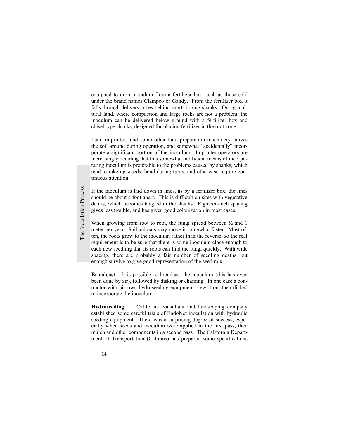equipped to drop inoculum from a fertilizer box, such as those sold under the brand names Clampco or Gandy. From the fertilizer box it falls through delivery tubes behind short ripping shanks. On agricultural land, where compaction and large rocks are not a problem, the inoculum can be delivered below ground with a fertilizer box and chisel type shanks, designed for placing fertilizer in the root zone.

Land imprinters and some other land preparation machinery moves the soil around during operation, and somewhat "accidentally" incorporate a significant portion of the inoculum. Imprinter operators are increasingly deciding that this somewhat inefficient means of incorporating inoculum is preferable to the problems caused by shanks, which tend to rake up weeds, bend during turns, and otherwise require continuous attention.

If the inoculum is laid down in lines, as by a fertilizer box, the lines should be about a foot apart. This is difficult on sites with vegetative debris, which becomes tangled in the shanks. Eighteen-inch spacing gives less trouble, and has given good colonization in most cases.

When growing from root to root, the fungi spread between  $\frac{1}{2}$  and 1 meter per year. Soil animals may move it somewhat faster. Most often, the roots grow to the inoculum rather than the reverse, so the real requirement is to be sure that there is some inoculum close enough to each new seedling that its roots can find the fungi quickly. With wide spacing, there are probably a fair number of seedling deaths, but enough survive to give good representation of the seed mix.

**Broadcast**: It is possible to broadcast the inoculum (this has even been done by air), followed by disking or chaining. In one case a contractor with his own hydroseeding equipment blew it on, then disked to incorporate the inoculum.

**Hydroseeding**: a California consultant and landscaping company established some careful trials of EndoNet inoculation with hydraulic seeding equipment. There was a surprising degree of success, especially when seeds and inoculum were applied in the first pass, then mulch and other components in a second pass. The California Department of Transportation (Caltrans) has prepared some specifications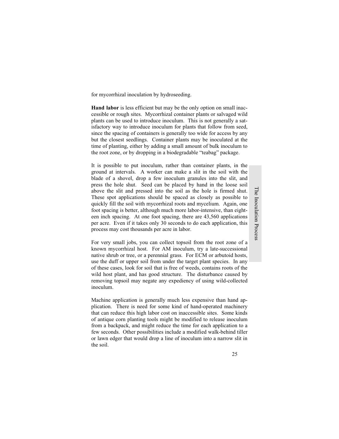for mycorrhizal inoculation by hydroseeding.

**Hand labor** is less efficient but may be the only option on small inaccessible or rough sites. Mycorrhizal container plants or salvaged wild plants can be used to introduce inoculum. This is not generally a satisfactory way to introduce inoculum for plants that follow from seed, since the spacing of containers is generally too wide for access by any but the closest seedlings. Container plants may be inoculated at the time of planting, either by adding a small amount of bulk inoculum to the root zone, or by dropping in a biodegradable "teabag" package.

It is possible to put inoculum, rather than container plants, in the ground at intervals. A worker can make a slit in the soil with the blade of a shovel, drop a few inoculum granules into the slit, and press the hole shut. Seed can be placed by hand in the loose soil above the slit and pressed into the soil as the hole is firmed shut. These spot applications should be spaced as closely as possible to quickly fill the soil with mycorrhizal roots and mycelium. Again, one foot spacing is better, although much more labor-intensive, than eighteen inch spacing. At one foot spacing, there are 43,560 applications per acre. Even if it takes only 30 seconds to do each application, this process may cost thousands per acre in labor.

For very small jobs, you can collect topsoil from the root zone of a known mycorrhizal host. For AM inoculum, try a late-successional native shrub or tree, or a perennial grass. For ECM or arbutoid hosts, use the duff or upper soil from under the target plant species. In any of these cases, look for soil that is free of weeds, contains roots of the wild host plant, and has good structure. The disturbance caused by removing topsoil may negate any expediency of using wild-collected inoculum.

Machine application is generally much less expensive than hand application. There is need for some kind of hand-operated machinery that can reduce this high labor cost on inaccessible sites. Some kinds of antique corn planting tools might be modified to release inoculum from a backpack, and might reduce the time for each application to a few seconds. Other possibilities include a modified walk-behind tiller or lawn edger that would drop a line of inoculum into a narrow slit in the soil.

The Inoculation Process The Inoculation Process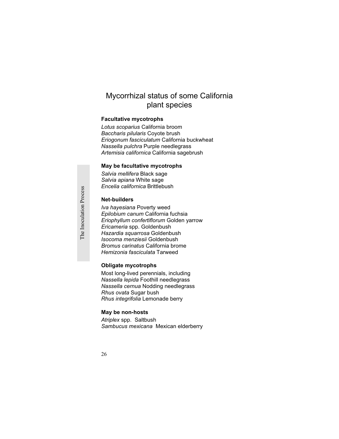# Mycorrhizal status of some California plant species

# **Facultative mycotrophs**

*Lotus scoparius* California broom *Baccharis pilularis* Coyote brush *Eriogonum fasciculatum* California buckwheat *Nassella pulchra* Purple needlegrass *Artemisia californica* California sagebrush

### **May be facultative mycotrophs**

*Salvia mellifera* Black sage *Salvia apiana* White sage *Encelia californica* Brittlebush

## **Net-builders**

*Iva hayesiana* Poverty weed *Epilobium canum* California fuchsia *Eriophyllum confertiflorum* Golden yarrow *Ericameria* spp. Goldenbush *Hazardia squarrosa* Goldenbush *Isocoma menziesii* Goldenbush *Bromus carinatus* California brome *Hemizonia fasciculata* Tarweed

## **Obligate mycotrophs**

Most long-lived perennials, including *Nassella lepida* Foothill needlegrass *Nassella cernua* Nodding needlegrass *Rhus ovata* Sugar bush *Rhus integrifolia* Lemonade berry

#### **May be non-hosts**

*Atriplex* spp. Saltbush *Sambucus mexicana* Mexican elderberry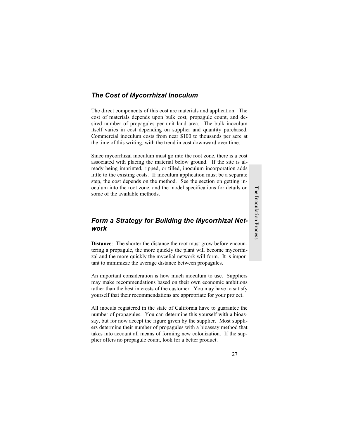# *The Cost of Mycorrhizal Inoculum*

The direct components of this cost are materials and application. The cost of materials depends upon bulk cost, propagule count, and desired number of propagules per unit land area. The bulk inoculum itself varies in cost depending on supplier and quantity purchased. Commercial inoculum costs from near \$100 to thousands per acre at the time of this writing, with the trend in cost downward over time.

Since mycorrhizal inoculum must go into the root zone, there is a cost associated with placing the material below ground. If the site is already being imprinted, ripped, or tilled, inoculum incorporation adds little to the existing costs. If inoculum application must be a separate step, the cost depends on the method. See the section on getting inoculum into the root zone, and the model specifications for details on some of the available methods.

# *Form a Strategy for Building the Mycorrhizal Network*

**Distance**: The shorter the distance the root must grow before encountering a propagule, the more quickly the plant will become mycorrhizal and the more quickly the mycelial network will form. It is important to minimizze the average distance between propagules.

An important consideration is how much inoculum to use. Suppliers may make recommendations based on their own economic ambitions rather than the best interests of the customer. You may have to satisfy yourself that their recommendations are appropriate for your project.

All inocula registered in the state of California have to guarantee the number of propagules. You can determine this yourself with a bioassay, but for now accept the figure given by the supplier. Most suppliers determine their number of propagules with a bioassay method that takes into account all means of forming new colonization. If the supplier offers no propagule count, look for a better product.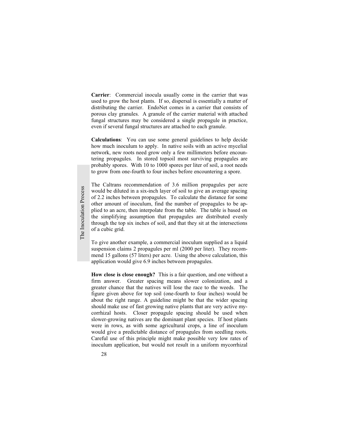**Carrier**: Commercial inocula usually come in the carrier that was used to grow the host plants. If so, dispersal is essentially a matter of distributing the carrier. EndoNet comes in a carrier that consists of porous clay granules. A granule of the carrier material with attached fungal structures may be considered a single propagule in practice, even if several fungal structures are attached to each granule.

**Calculations**: You can use some general guidelines to help decide how much inoculum to apply. In native soils with an active mycelial network, new roots need grow only a few millimeters before encountering propagules. In stored topsoil most surviving propagules are probably spores. With 10 to 1000 spores per liter of soil, a root needs to grow from one-fourth to four inches before encountering a spore.

The Caltrans recommendation of 3.6 million propagules per acre would be diluted in a six-inch layer of soil to give an average spacing of 2.2 inches between propagules. To calculate the distance for some other amount of inoculum, find the number of propagules to be applied to an acre, then interpolate from the table. The table is based on the simplifying assumption that propagules are distributed evenly through the top six inches of soil, and that they sit at the intersections of a cubic grid.

To give another example, a commercial inoculum supplied as a liquid suspension claims 2 propagules per ml (2000 per liter). They recommend 15 gallons (57 liters) per acre. Using the above calculation, this application would give 6.9 inches between propagules.

**How close is close enough?** This is a fair question, and one without a firm answer. Greater spacing means slower colonization, and a greater chance that the natives will lose the race to the weeds. The figure given above for top soil (one-fourth to four inches) would be about the right range. A guideline might be that the wider spacing should make use of fast growing native plants that are very active mycorrhizal hosts. Closer propagule spacing should be used when slower-growing natives are the dominant plant species. If host plants were in rows, as with some agricultural crops, a line of inoculum would give a predictable distance of propagules from seedling roots. Careful use of this principle might make possible very low rates of inoculum application, but would not result in a uniform mycorrhizal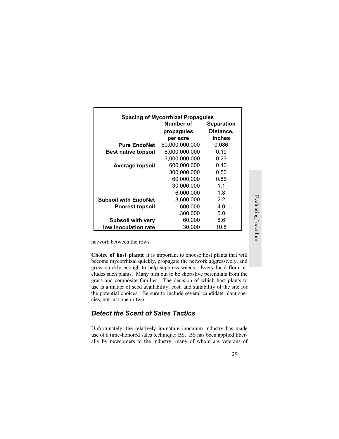| <b>Spacing of Mycorrhizal Propagules</b> |                |            |  |  |
|------------------------------------------|----------------|------------|--|--|
|                                          | Number of      | Separation |  |  |
|                                          | propagules     | Distance,  |  |  |
|                                          | per acre       | inches     |  |  |
| <b>Pure EndoNet</b>                      | 60,000,000,000 | 0.086      |  |  |
| <b>Best native topsoil</b>               | 6,000,000,000  | 0.19       |  |  |
|                                          | 3,000,000,000  | 0.23       |  |  |
| <b>Average topsoil</b>                   | 600,000,000    | 0.40       |  |  |
|                                          | 300,000,000    | 0.50       |  |  |
|                                          | 60,000,000     | 0.86       |  |  |
|                                          | 30,000,000     | 1.1        |  |  |
|                                          | 6,000,000      | 1.8        |  |  |
| <b>Subsoil with EndoNet</b>              | 3,600,000      | 2.2        |  |  |
| <b>Poorest topsoil</b>                   | 600,000        | 4.0        |  |  |
|                                          | 300,000        | 5.0        |  |  |
| <b>Subsoil with very</b>                 | 60,000         | 8.6        |  |  |
| low inoculation rate                     | 30,000         | 10.8       |  |  |

network between the rows.

**Choice of host plants**: it is important to choose host plants that will become mycorrhizal quickly, propagate the network aggressively, and grow quickly enough to help suppress weeds. Every local flora includes such plants. Many turn out to be short-live perennials from the grass and composite families. The decision of which host plants to use is a matter of seed availability, cost, and suitability of the site for the potential choices. Be sure to include several candidate plant species, not just one or two.

# *Detect the Scent of Sales Tactics*

Unfortunately, the relatively immature inoculum industry has made use of a time-honored sales technique: BS. BS has been applied liberally by newcomers to the industry, many of whom are veterans of Evaluating Inoculum Evaluating Inoculum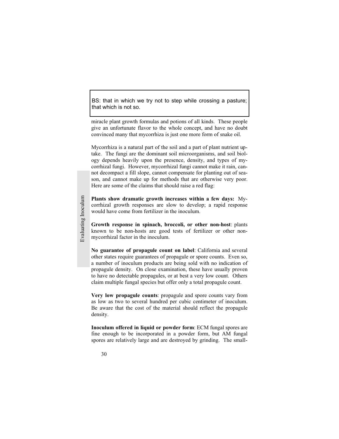BS: that in which we try not to step while crossing a pasture; that which is not so.

miracle plant growth formulas and potions of all kinds. These people give an unfortunate flavor to the whole concept, and have no doubt convinced many that mycorrhiza is just one more form of snake oil.

Mycorrhiza is a natural part of the soil and a part of plant nutrient uptake. The fungi are the dominant soil microorganisms, and soil biology depends heavily upon the presence, density, and types of mycorrhizal fungi. However, mycorrhizal fungi cannot make it rain, cannot decompact a fill slope, cannot compensate for planting out of season, and cannot make up for methods that are otherwise very poor. Here are some of the claims that should raise a red flag:

**Plants show dramatic growth increases within a few days:** Mycorrhizal growth responses are slow to develop; a rapid response would have come from fertilizer in the inoculum.

**Growth response in spinach, broccoli, or other non-host**: plants known to be non-hosts are good tests of fertilizer or other nonmycorrhizal factor in the inoculum.

**No guarantee of propagule count on label**: California and several other states require guarantees of propagule or spore counts. Even so, a number of inoculum products are being sold with no indication of propagule density. On close examination, these have usually proven to have no detectable propagules, or at best a very low count. Others claim multiple fungal species but offer only a total propagule count.

**Very low propagule counts**: propagule and spore counts vary from as low as two to several hundred per cubic centimeter of inoculum. Be aware that the cost of the material should reflect the propagule density.

**Inoculum offered in liquid or powder form**: ECM fungal spores are fine enough to be incorporated in a powder form, but AM fungal spores are relatively large and are destroyed by grinding. The small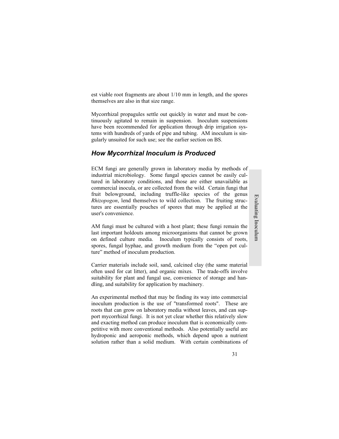est viable root fragments are about 1/10 mm in length, and the spores themselves are also in that size range.

Mycorrhizal propagules settle out quickly in water and must be continuously agitated to remain in suspension. Inoculum suspensions have been recommended for application through drip irrigation systems with hundreds of yards of pipe and tubing. AM inoculum is singularly unsuited for such use; see the earlier section on BS.

# *How Mycorrhizal Inoculum is Produced*

ECM fungi are generally grown in laboratory media by methods of industrial microbiology. Some fungal species cannot be easily cultured in laboratory conditions, and those are either unavailable as commercial inocula, or are collected from the wild. Certain fungi that fruit belowground, including truffle-like species of the genus *Rhizopogon*, lend themselves to wild collection. The fruiting structures are essentially pouches of spores that may be applied at the user's convenience.

AM fungi must be cultured with a host plant; these fungi remain the last important holdouts among microorganisms that cannot be grown on defined culture media. Inoculum typically consists of roots, spores, fungal hyphae, and growth medium from the "open pot culture" method of inoculum production.

Carrier materials include soil, sand, calcined clay (the same material often used for cat litter), and organic mixes. The trade-offs involve suitability for plant and fungal use, convenience of storage and handling, and suitability for application by machinery.

An experimental method that may be finding its way into commercial inoculum production is the use of "transformed roots". These are roots that can grow on laboratory media without leaves, and can support mycorrhizal fungi. It is not yet clear whether this relatively slow and exacting method can produce inoculum that is economically competitive with more conventional methods. Also potentially useful are hydroponic and aeroponic methods, which depend upon a nutrient solution rather than a solid medium. With certain combinations of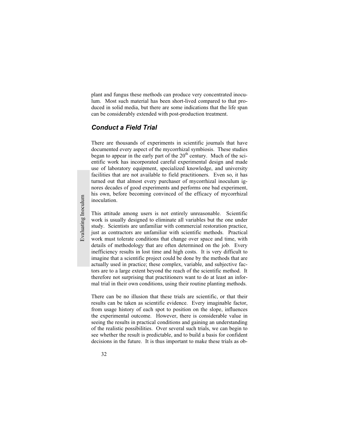plant and fungus these methods can produce very concentrated inoculum. Most such material has been short-lived compared to that produced in solid media, but there are some indications that the life span can be considerably extended with post-production treatment.

# *Conduct a Field Trial*

There are thousands of experiments in scientific journals that have documented every aspect of the mycorrhizal symbiosis. These studies began to appear in the early part of the  $20<sup>th</sup>$  century. Much of the scientific work has incorporated careful experimental design and made use of laboratory equipment, specialized knowledge, and university facilities that are not available to field practitioners. Even so, it has turned out that almost every purchaser of mycorrhizal inoculum ignores decades of good experiments and performs one bad experiment, his own, before becoming convinced of the efficacy of mycorrhizal inoculation.

This attitude among users is not entirely unreasonable. Scientific work is usually designed to eliminate all variables but the one under study. Scientists are unfamiliar with commercial restoration practice, just as contractors are unfamiliar with scientific methods. Practical work must tolerate conditions that change over space and time, with details of methodology that are often determined on the job. Every inefficiency results in lost time and high costs. It is very difficult to imagine that a scientific project could be done by the methods that are actually used in practice; these complex, variable, and subjective factors are to a large extent beyond the reach of the scientific method. It therefore not surprising that practitioners want to do at least an informal trial in their own conditions, using their routine planting methods.

There can be no illusion that these trials are scientific, or that their results can be taken as scientific evidence. Every imaginable factor, from usage history of each spot to position on the slope, influences the experimental outcome. However, there is considerable value in seeing the results in practical conditions and gaining an understanding of the realistic possibilities. Over several such trials, we can begin to see whether the result is predictable, and to build a basis for confident decisions in the future. It is thus important to make these trials as ob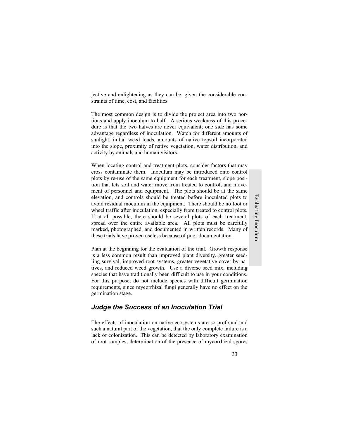jective and enlightening as they can be, given the considerable constraints of time, cost, and facilities.

The most common design is to divide the project area into two portions and apply inoculum to half. A serious weakness of this procedure is that the two halves are never equivalent; one side has some advantage regardless of inoculation. Watch for different amounts of sunlight, initial weed loads, amounts of native topsoil incorporated into the slope, proximity of native vegetation, water distribution, and activity by animals and human visitors.

When locating control and treatment plots, consider factors that may cross contaminate them. Inoculum may be introduced onto control plots by re-use of the same equipment for each treatment, slope position that lets soil and water move from treated to control, and movement of personnel and equipment. The plots should be at the same elevation, and controls should be treated before inoculated plots to avoid residual inoculum in the equipment. There should be no foot or wheel traffic after inoculation, especially from treated to control plots. If at all possible, there should be several plots of each treatment, spread over the entire available area. All plots must be carefully marked, photographed, and documented in written records. Many of these trials have proven useless because of poor documentation.

Plan at the beginning for the evaluation of the trial. Growth response is a less common result than improved plant diversity, greater seedling survival, improved root systems, greater vegetative cover by natives, and reduced weed growth. Use a diverse seed mix, including species that have traditionally been difficult to use in your conditions. For this purpose, do not include species with difficult germination requirements, since mycorrhizal fungi generally have no effect on the germination stage.

## *Judge the Success of an Inoculation Trial*

The effects of inoculation on native ecosystems are so profound and such a natural part of the vegetation, that the only complete failure is a lack of colonization. This can be detected by laboratory examination of root samples, determination of the presence of mycorrhizal spores Evaluating Inoculum Evaluating Inoculum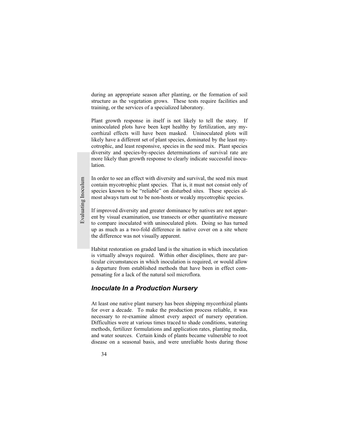during an appropriate season after planting, or the formation of soil structure as the vegetation grows. These tests require facilities and training, or the services of a specialized laboratory.

Plant growth response in itself is not likely to tell the story. If uninoculated plots have been kept healthy by fertilization, any mycorrhizal effects will have been masked. Uninoculated plots will likely have a different set of plant species, dominated by the least mycotrophic, and least responsive, species in the seed mix. Plant species diversity and species-by-species determinations of survival rate are more likely than growth response to clearly indicate successful inoculation.

In order to see an effect with diversity and survival, the seed mix must contain mycotrophic plant species. That is, it must not consist only of species known to be "reliable" on disturbed sites. These species almost always turn out to be non-hosts or weakly mycotrophic species.

If improved diversity and greater dominance by natives are not apparent by visual examination, use transects or other quantitative measure to compare inoculated with uninoculated plots. Doing so has turned up as much as a two-fold difference in native cover on a site where the difference was not visually apparent.

Habitat restoration on graded land is the situation in which inoculation is virtually always required. Within other disciplines, there are particular circumstances in which inoculation is required, or would allow a departure from established methods that have been in effect compensating for a lack of the natural soil microflora.

# *Inoculate In a Production Nursery*

At least one native plant nursery has been shipping mycorrhizal plants for over a decade. To make the production process reliable, it was necessary to re-examine almost every aspect of nursery operation. Difficulties were at various times traced to shade conditions, watering methods, fertilizer formulations and application rates, planting media, and water sources. Certain kinds of plants became vulnerable to root disease on a seasonal basis, and were unreliable hosts during those

# Evaluating Inoculum Evaluating Inoculum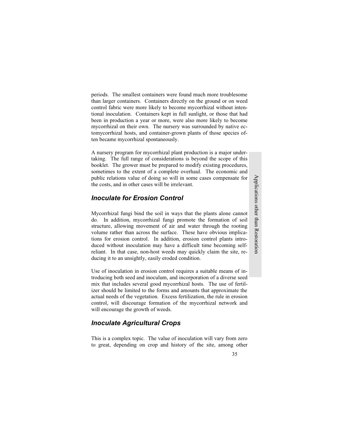periods. The smallest containers were found much more troublesome than larger containers. Containers directly on the ground or on weed control fabric were more likely to become mycorrhizal without intentional inoculation. Containers kept in full sunlight, or those that had been in production a year or more, were also more likely to become mycorrhizal on their own. The nursery was surrounded by native ectomycorrhizal hosts, and container-grown plants of those species often became mycorrhizal spontaneously.

A nursery program for mycorrhizal plant production is a major undertaking. The full range of considerations is beyond the scope of this booklet. The grower must be prepared to modify existing procedures, sometimes to the extent of a complete overhaul. The economic and public relations value of doing so will in some cases compensate for the costs, and in other cases will be irrelevant.

# *Inoculate for Erosion Control*

Mycorrhizal fungi bind the soil in ways that the plants alone cannot do. In addition, mycorrhizal fungi promote the formation of soil structure, allowing movement of air and water through the rooting volume rather than across the surface. These have obvious implications for erosion control. In addition, erosion control plants introduced without inoculation may have a difficult time becoming selfreliant. In that case, non-host weeds may quickly claim the site, reducing it to an unsightly, easily eroded condition.

Use of inoculation in erosion control requires a suitable means of introducing both seed and inoculum, and incorporation of a diverse seed mix that includes several good mycorrhizal hosts. The use of fertilizer should be limited to the forms and amounts that approximate the actual needs of the vegetation. Excess fertilization, the rule in erosion control, will discourage formation of the mycorrhizal network and will encourage the growth of weeds.

# *Inoculate Agricultural Crops*

This is a complex topic. The value of inoculation will vary from zero to great, depending on crop and history of the site, among other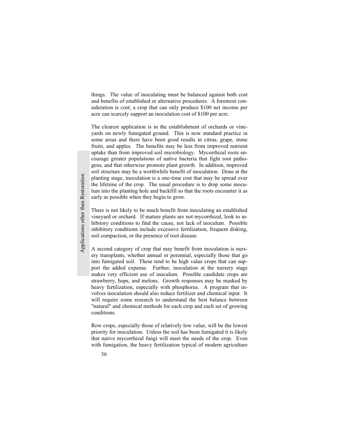things. The value of inoculating must be balanced against both cost and benefits of established or alternative procedures. A foremost consideration is cost; a crop that can only produce \$100 net income per acre can scarcely support an inoculation cost of \$100 per acre.

The clearest application is in the establishment of orchards or vineyards on newly fumigated ground. This is now standard practice in some areas and there have been good results in citrus, grape, stone fruits, and apples. The benefits may be less from improved nutrient uptake than from improved soil microbiology. Mycorrhizal roots encourage greater populations of native bacteria that fight root pathogens, and that otherwise promote plant growth. In addition, improved soil structure may be a worthwhile benefit of inoculation. Done at the planting stage, inoculation is a one-time cost that may be spread over the lifetime of the crop. The usual procedure is to drop some inoculum into the planting hole and backfill so that the roots encounter it as early as possible when they begin to grow.

There is not likely to be much benefit from inoculating an established vineyard or orchard. If mature plants are not mycorrhizal, look to inhibitory conditions to find the cause, not lack of inoculum. Possible inhibitory conditions include excessive fertilization, frequent disking, soil compaction, or the presence of root disease.

A second category of crop that may benefit from inoculation is nursery transplants, whether annual or perennial, especially those that go into fumigated soil. These tend to be high value crops that can support the added expense. Further, inoculation at the nursery stage makes very efficient use of inoculum. Possible candidate crops are strawberry, hops, and melons. Growth responses may be masked by heavy fertilization, especially with phosphorus. A program that involves inoculation should also reduce fertilizer and chemical input. It will require some research to understand the best balance between "natural" and chemical methods for each crop and each set of growing conditions.

Row crops, especially those of relatively low value, will be the lowest priority for inoculation. Unless the soil has been fumigated it is likely that native mycorrhizal fungi will meet the needs of the crop. Even with fumigation, the heavy fertilization typical of modern agriculture

36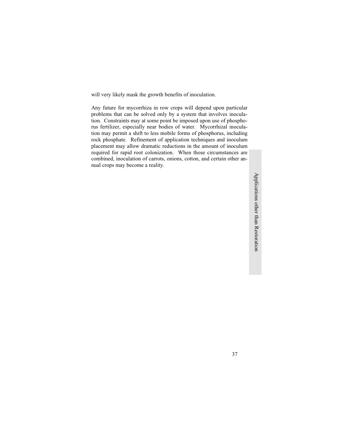will very likely mask the growth benefits of inoculation.

Any future for mycorrhiza in row crops will depend upon particular problems that can be solved only by a system that involves inoculation. Constraints may at some point be imposed upon use of phosphorus fertilizer, especially near bodies of water. Mycorrhizal inoculation may permit a shift to less mobile forms of phosphorus, including rock phosphate. Refinement of application techniques and inoculum placement may allow dramatic reductions in the amount of inoculum required for rapid root colonization. When those circumstances are combined, inoculation of carrots, onions, cotton, and certain other annual crops may become a reality.

> Applications other than Restoration Applications other than Restoration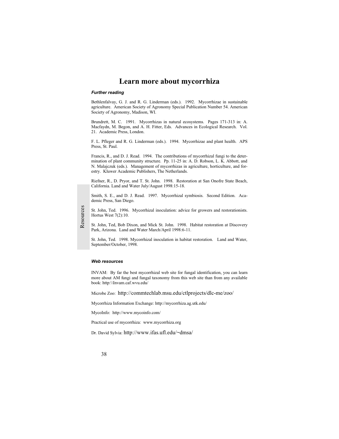# **Learn more about mycorrhiza**

#### *Further reading*

Bethlenfalvay, G. J. and R. G. Linderman (eds.). 1992. Mycorrhizae in sustainable agriculture. American Society of Agronomy Special Publication Number 54. American Society of Agronomy, Madison, WI.

Brundrett, M. C. 1991. Mycorrhizas in natural ecosystems. Pages 171-313 in: A. Macfaydn, M. Begon, and A. H. Fitter, Eds. Advances in Ecological Research. Vol. 21. Academic Press, London.

F. L. Pfleger and R. G. Linderman (eds.). 1994. Mycorrhizae and plant health. APS Press, St. Paul.

Francis, R., and D. J. Read. 1994. The contributions of mycorrhizal fungi to the determination of plant community structure. Pp. 11-25 in: A. D. Robson, L. K. Abbott, and N. Malajczuk (eds.). Management of mycorrhizas in agriculture, horticulture, and forestry. Kluwer Academic Publishers, The Netherlands.

Riefner, R., D. Pryor, and T. St. John. 1998. Restoration at San Onofre State Beach, California. Land and Water July/August 1998:15-18.

Smith, S. E., and D. J. Read. 1997. Mycorrhizal symbiosis. Second Edition. Academic Press, San Diego.

Resources Resources

St. John, Ted. 1996. Mycorrhizal inoculation: advice for growers and restorationists. Hortus West 7(2):10.

St. John, Ted, Bob Dixon, and Mick St. John. 1998. Habitat restoration at Discovery Park, Arizona. Land and Water March/April 1998:6-11.

St. John, Ted. 1998. Mycorrhizal inoculation in habitat restoration. Land and Water, September/October, 1998.

#### *Web resources*

INVAM: By far the best mycorrhizal web site for fungal identification, you can learn more about AM fungi and fungal taxonomy from this web site than from any available book: http:\\Invam.caf.wvu.edu/

Microbe Zoo: http://commtechlab.msu.edu/ctlprojects/dlc-me/zoo/

Mycorrhiza Information Exchange: http://mycorrhiza.ag.utk.edu/

MycoInfo: http://www.mycoinfo.com/

Practical use of mycorrhiza: www.mycorrhiza.org

Dr. David Sylvia: http://www.ifas.ufl.edu/~dmsa/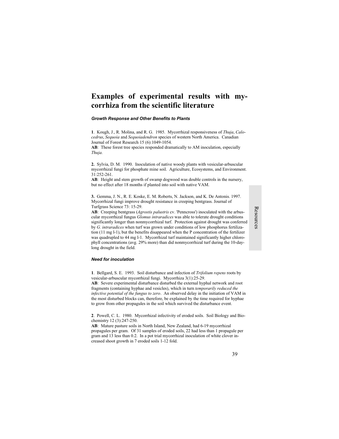# **Examples of experimental results with mycorrhiza from the scientific literature**

#### *Growth Response and Other Benefits to Plants*

**1**. Kough, J., R. Molina, and R. G. 1985. Mycorrhizal responsiveness of *Thuja*, *Calocedrus*, *Sequoia* and *Sequoiadendron* species of western North America. Canadian Journal of Forest Research 15 (6):1049-1054.

**AB**: These forest tree species responded dramatically to AM inoculation, especially *Thuja*.

**2.** Sylvia, D. M. 1990. Inoculation of native woody plants with vesicular-arbuscular mycorrhizal fungi for phosphate mine soil. Agriculture, Ecosystems, and Environment. 31:252-261.

**AB**: Height and stem growth of swamp dogwood was double controls in the nursery, but no effect after 18 months if planted into soil with native VAM.

**3.** Gemma, J. N., R. E. Koske, E. M. Roberts, N. Jackson, and K. De Antonis. 1997. Mycorrhizal fungi improve drought resistance in creeping bentgrass. Journal of Turfgrass Science 73: 15-29.

**AB**: Creeping bentgrass (*Agrostis palustris* cv. 'Penncross') inoculated with the arbuscular mycorrhizal fungus *Glomus intraradices* was able to tolerate drought conditions significantly longer than nonmycorrhizal turf. Protection against drought was conferred by *G. intraradices* when turf was grown under conditions of low phosphorus fertilization (11 mg l-1), but the benefits disappeared when the P concentration of the fertilizer was quadrupled to 44 mg l-1. Mycorrhizal turf maintained significantly higher chlorophyll concentrations (avg. 29% more) than did nonmycorrhizal turf during the 10-daylong drought in the field.

#### *Need for inoculation*

**1**. Bellgard, S. E. 1993. Soil disturbance and infection of *Trifolium repens* roots by vesicular-arbuscular mycorrhizal fungi. Mycorrhiza 3(1):25-29.

**AB**: Severe experimental disturbance disturbed the external hyphal network and root fragments (containing hyphae and vesicles), which in turn *temporarily reduced the infective potential of the fungus to zero*. An observed delay in the initiation of VAM in the most disturbed blocks can, therefore, be explained by the time required for hyphae to grow from other propagules in the soil which survived the disturbance event.

**2**. Powell, C. L. 1980. Mycorrhizal infectivity of eroded soils. Soil Biology and Biochemistry 12 (3):247-250.

**AB**: Mature pasture soils in North Island, New Zealand, had 6-19 mycorrhizal propagules per gram. Of 31 samples of eroded soils, 22 had less than 1 propagule per gram and 13 less than 0.2. In a pot trial mycorrhizal inoculation of white clover increased shoot growth in 7 eroded soils 1-12 fold.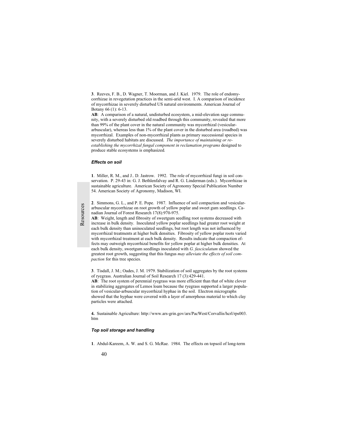**3**. Reeves, F. B., D. Wagner, T. Moorman, and J. Kiel. 1979. The role of endomycorrhizae in revegetation practices in the semi-arid west. I. A comparison of incidence of mycorrhizae in severely disturbed US natural environments. American Journal of Botany 66 (1): 6-13.

**AB**: A comparison of a natural, undisturbed ecosystem, a mid-elevation sage community, with a severely disturbed old roadbed through this community, revealed that more than 99% of the plant cover in the natural community was mycorrhizal (vesiculararbuscular), whereas less than 1% of the plant cover in the disturbed area (roadbed) was mycorrhizal. Examples of non-mycorrhizal plants as primary successional species in severely disturbed habitats are discussed. *The importance of maintaining or reestablishing the mycorrhizal fungal component in reclamation programs* designed to produce stable ecosystems is emphasized*.*

#### *Effects on soil*

**1**. Miller, R. M., and J.. D. Jastrow. 1992. The role of mycorrhizal fungi in soil conservation. P. 29-43 in: G. J. Bethlenfalvay and R. G. Linderman (eds.). Mycorrhizae in sustainable agriculture. American Society of Agronomy Special Publication Number 54. American Society of Agronomy, Madison, WI.

Resources Resources

**2**. Simmons, G. L., and P. E. Pope. 1987. Influence of soil compaction and vesiculararbuscular mycorrhizae on root growth of yellow poplar and sweet gum seedlings. Canadian Journal of Forest Research 17(8):970-975.

**AB**: Weight, length and fibrosity of sweetgum seedling root systems decreased with increase in bulk density. Inoculated yellow poplar seedlings had greater root weight at each bulk density than uninoculated seedlings, but root length was not influenced by mycorrhizal treatments at higher bulk densities. Fibrosity of yellow poplar roots varied with mycorrhizal treatment at each bulk density. Results indicate that compaction effects may outweigh mycorrhizal benefits for yellow poplar at higher bulk densities. At each bulk density, sweetgum seedlings inoculated with *G. fasciculatum* showed the greatest root growth, suggesting that this fungus *may alleviate the effects of soil compaction* for this tree species.

**3**. Tisdall, J. M.; Oades, J. M. 1979. Stabilization of soil aggregates by the root systems of ryegrass. Australian Journal of Soil Research 17 (3):429-441.

AB: The root system of perennial ryegrass was more efficient than that of white clover in stabilizing aggregates of Lemos loam because the ryegrass supported a larger population of vesicular-arbuscular mycorrhizal hyphae in the soil. Electron micrographs showed that the hyphae were covered with a layer of amorphous material to which clay particles were attached.

**4.** Sustainable Agriculture: http://www.ars-grin.gov/ars/PacWest/Corvallis/hcrl/rps003. htm

#### *Top soil storage and handling*

**1**. Abdul-Kareem, A. W. and S. G. McRae. 1984. The effects on topsoil of long-term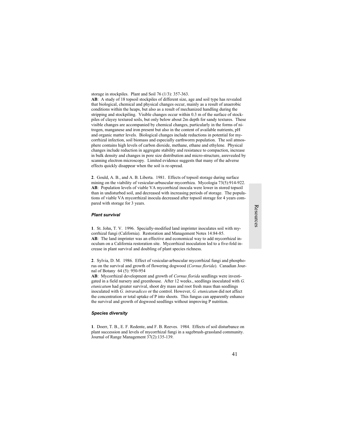storage in stockpiles. Plant and Soil 76 (1/3): 357-363.

**AB**: A study of 18 topsoil stockpiles of different size, age and soil type has revealed that biological, chemical and physical changes occur, mainly as a result of anaerobic conditions within the heaps, but also as a result of mechanized handling during the stripping and stockpiling. Visible changes occur within 0.3 m of the surface of stockpiles of clayey textured soils, but only below about 2m depth for sandy textures. These visible changes are accompanied by chemical changes, particularly in the forms of nitrogen, manganese and iron present but also in the content of available nutrients, pH and organic matter levels. Biological changes include reductions in potential for mycorrhizal infection, soil biomass and especially earthworm population. The soil atmosphere contains high levels of carbon dioxide, methane, ethane and ethylene. Physical changes include reduction in aggregate stability and resistance to compaction, increase in bulk density and changes in pore size distribution and micro-structure, asrevealed by scanning electron microscopy. Limited evidence suggests that many of the adverse effects quickly disappear when the soil is re-spread.

**2**. Gould, A. B., and A. B. Liberta. 1981. Effects of topsoil storage during surface mining on the viability of vesicular-arbuscular mycorrhiza. Mycologia 73(5):914-922. **AB**: Population levels of viable VA mycorrhizal inocula were lower in stored topsoil than in undisturbed soil, and decreased with increasing periods of storage. The populations of viable VA mycorrhizal inocula decreased after topsoil storage for 4 years compared with storage for 3 years.

#### *Plant survival*

**1**. St. John, T. V. 1996. Specially-modified land imprinter inoculates soil with mycorrhizal fungi (California). Restoration and Management Notes 14:84-85. **AB**: The land imprinter was an effective and economical way to add mycorrhizal inoculum on a California restoration site. Mycorrhizal inoculation led to a five-fold increase in plant survival and doubling of plant species richness.

**2**. Sylvia, D. M. 1986. Effect of vesicular-arbuscular mycorrhizal fungi and phosphorus on the survival and growth of flowering dogwood (*Cornus florida*). Canadian Journal of Botany 64 (5): 950-954

**AB**: Mycorrhizal development and growth of *Cornus florida* seedlings were investigated in a field nursery and greenhouse. After 12 weeks., seedlings inoculated with *G. etunicatum* had greater survival, shoot dry mass and root fresh mass than seedlings inoculated with *G. intraradices* or the control. However, *G. etunicatum* did not affect the concentration or total uptake of P into shoots. This fungus can apparently enhance the survival and growth of dogwood seedlings without improving P nutrition.

#### *Species diversity*

**1**. Doerr, T. B., E. F. Redente, and F. B. Reeves. 1984. Effects of soil disturbance on plant succession and levels of mycorrhizal fungi in a sagebrush-grassland community. Journal of Range Management 37(2):135-139.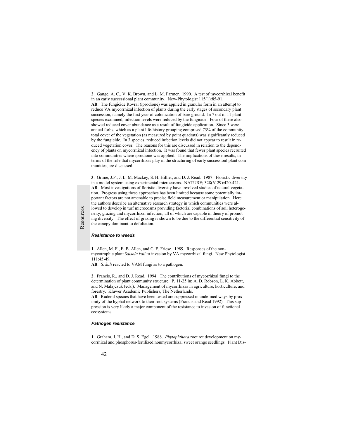**2**. Gange, A. C., V. K. Brown, and L. M. Farmer. 1990. A test of mycorrhizal benefit in an early successional plant community. New-Phytologist 115(1):85-91. **AB**: The fungicide Rovral (iprodione) was applied in granular form in an attempt to reduce VA mycorrhizal infection of plants during the early stages of secondary plant succession, namely the first year of colonization of bare ground. In 7 out of 11 plant species examined, infection levels were reduced by the fungicide. Four of these also showed reduced cover abundance as a result of fungicide application. Since 3 were annual forbs, which as a plant life-history grouping comprised 73% of the community, total cover of the vegetation (as measured by point quadrats) was significantly reduced by the fungicide. In 3 species, reduced infection levels did not appear to result in reduced vegetation cover. The reasons for this are discussed in relation to the dependency of plants on mycorrhizal infection. It was found that fewer plant species recruited into communities where iprodione was applied. The implications of these results, in terms of the role that mycorrhizas play in the structuring of early successionl plant communities, are discussed.

**3**. Grime, J.P., J. L. M. Mackey, S. H. Hillier, and D. J. Read. 1987. Floristic diversity in a model system using experimental microcosms. NATURE; 328(6129):420-421. **AB**: Most investigations of floristic diversity have involved studies of natural vegetation. Progress using these approaches has been limited because some potentially important factors are not amenable to precise field measurement or manipulation. Here the authors describe an alternative research strategy in which communities were allowed to develop in turf microcosms providing factorial combinations of soil heterogeneity, grazing and mycorrhizal infection, all of which are capable in theory of promoting diversity. The effect of grazing is shown to be due to the differential sensitivity of the canopy dominant to defoliation.

#### *Resistance to weeds*

**1**. Allen, M. F., E. B. Allen, and C. F. Friese. 1989. Responses of the nonmycotrophic plant *Salsola kali* to invasion by VA mycorrhizal fungi. New Phytologist 111:45-49.

**AB**: *S. kali* reacted to VAM fungi as to a pathogen.

**2**. Francis, R., and D. J. Read. 1994. The contributions of mycorrhizal fungi to the determination of plant community structure. P. 11-25 in: A. D. Robson, L. K. Abbott, and N. Malajczuk (eds.). Management of mycorrhizas in agriculture, horticulture, and forestry. Kluwer Academic Publishers, The Netherlands.

**AB**: Ruderal species that have been tested are suppressed in undefined ways by proximity of the hyphal network to their root systems (Francis and Read 1992). This suppression is very likely a major component of the resistance to invasion of functional ecosystems.

#### *Pathogen resistance*

**1**. Graham, J. H., and D. S. Egel. 1988. *Phytophthora* root rot development on mycorrhizal and phosphorus-fertilized nonmycorrhizal sweet orange seedlings. Plant Dis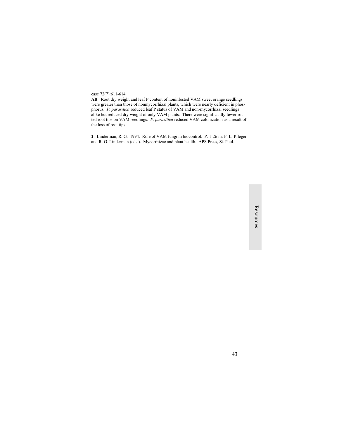ease 72(7):611-614.

**AB**: Root dry weight and leaf P content of noninfested VAM sweet orange seedlings were greater than those of nonmycorrhizal plants, which were nearly deficient in phosphorus. *P. parasitica* reduced leaf P status of VAM and non-mycorrhizal seedlings alike but reduced dry weight of only VAM plants. There were significantly fewer rotted root tips on VAM seedlings. *P. parasitica* reduced VAM colonization as a result of the loss of root tips.

**2**. Linderman, R. G. 1994. Role of VAM fungi in biocontrol. P. 1-26 in: F. L. Pfleger and R. G. Linderman (eds.). Mycorrhizae and plant health. APS Press, St. Paul.

# Resources Resources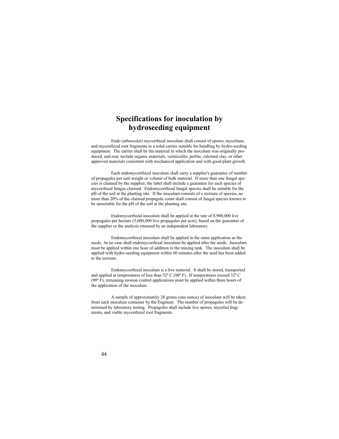# **Specifications for inoculation by hydroseeding equipment**

Endo (arbuscular) mycorrhizal inoculum shall consist of spores, mycelium, and mycorrhizal root fragments in a solid carrier suitable for handling by hydro-seeding equipment. The carrier shall be the material in which the inoculum was originally produced, and may include organic materials, vermiculite, perlite, calcined clay, or other approved materials consistent with mechanical application and with good plant growth.

Each endomycorrhizal inoculum shall carry a supplier's guarantee of number of propagules per unit weight or volume of bulk material. If more than one fungal species is claimed by the supplier, the label shall include a guarantee for each species of mycorrhizal fungus claimed. Endomycorrhizal fungal species shall be suitable for the pH of the soil at the planting site. If the inoculum consists of a mixture of species, no more than 20% of the claimed propagule count shall consist of fungal species known to be unsuitable for the pH of the soil at the planting site.

Endomycorrhizal inoculum shall be applied at the rate of 8,900,000 live propagules per hectare (3,600,000 live propagules per acre), based on the guarantee of the supplier or the analysis returned by an independent laboratory.

Endomycorrhizal inoculum shall be applied in the same application as the seeds. In no case shall endomycorrhizal inoculum be applied after the seeds. Inoculum must be applied within one hour of addition to the mixing tank. The inoculum shall be applied with hydro-seeding equipment within 60 minutes after the seed has been added to the mixture.

Endomycorrhizal inoculum is a live material. It shall be stored, transported and applied at temperatures of less than  $32^{\circ}$  C (90° F). If temperatures exceed  $32^{\circ}$  C (90º F), remaining erosion control applications must be applied within three hours of the application of the inoculum.

A sample of approximately 28 grams (one ounce) of inoculum will be taken from each inoculum container by the Engineer. The number of propagules will be determined by laboratory testing. Propagules shall include live spores, mycelial fragments, and viable mycorrhizal root fragments.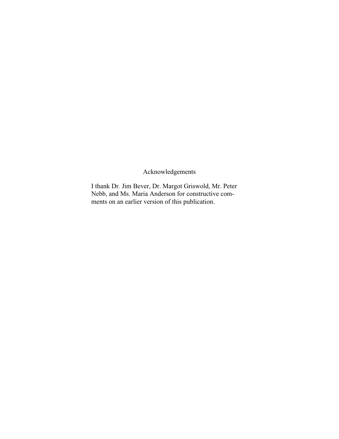Acknowledgements

I thank Dr. Jim Bever, Dr. Margot Griswold, Mr. Peter Nebb, and Ms. Maria Anderson for constructive comments on an earlier version of this publication.